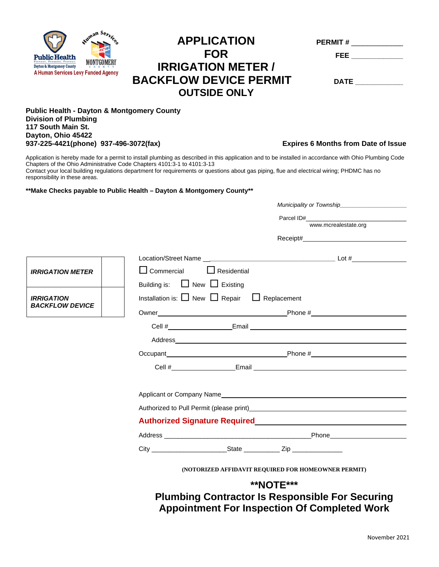

## $APPLICATION$ **FOR FEE \_\_\_\_\_\_\_\_\_\_\_\_\_ IRRIGATION METER / BACKFLOW DEVICE PERMIT** DATE **OUTSIDE ONLY**

| <b>PERMIT#</b> |  |
|----------------|--|
| FEE            |  |
|                |  |

## **Public Health - Dayton & Montgomery County Division of Plumbing 117 South Main St. Dayton, Ohio 45422 937-225-4421(phone) 937-496-3072(fax) Expires 6 Months from Date of Issue**

Application is hereby made for a permit to install plumbing as described in this application and to be installed in accordance with Ohio Plumbing Code Chapters of the Ohio Administrative Code Chapters 4101:3-1 to 4101:3-13

Contact your local building regulations department for requirements or questions about gas piping, flue and electrical wiring; PHDMC has no responsibility in these areas.

## **\*\*Make Checks payable to Public Health – Dayton & Montgomery County\*\***

|                                             |                                                                    | Municipality or Township                                                                                        |  |
|---------------------------------------------|--------------------------------------------------------------------|-----------------------------------------------------------------------------------------------------------------|--|
|                                             |                                                                    |                                                                                                                 |  |
|                                             |                                                                    | www.mcrealestate.org                                                                                            |  |
|                                             |                                                                    |                                                                                                                 |  |
|                                             |                                                                    |                                                                                                                 |  |
| <b>IRRIGATION METER</b>                     | $\Box$ Residential<br>$\Box$ Commercial                            |                                                                                                                 |  |
|                                             | Building is: $\Box$ New $\Box$ Existing                            |                                                                                                                 |  |
| <b>IRRIGATION</b><br><b>BACKFLOW DEVICE</b> | Installation is: $\Box$ New $\Box$ Repair $\Box$ Replacement       |                                                                                                                 |  |
|                                             |                                                                    |                                                                                                                 |  |
|                                             |                                                                    | Cell # Email Email Email Email Email Email Email Email Email Email Albert Annual Email Email Annual Email Email |  |
|                                             |                                                                    |                                                                                                                 |  |
|                                             |                                                                    | Occupant Phone # Phone #                                                                                        |  |
|                                             |                                                                    |                                                                                                                 |  |
|                                             |                                                                    |                                                                                                                 |  |
|                                             |                                                                    | Authorized to Pull Permit (please print) Manual Communication of the Communication of the Communication of the  |  |
|                                             | Authorized Signature Required Manual Authorized Signature Required |                                                                                                                 |  |
|                                             |                                                                    |                                                                                                                 |  |
|                                             |                                                                    |                                                                                                                 |  |
|                                             |                                                                    | (NOTORIZED AFFIDAVIT REQUIRED FOR HOMEOWNER PERMIT)                                                             |  |
|                                             |                                                                    | <b>**NOTE***</b>                                                                                                |  |

**Plumbing Contractor Is Responsible For Securing Appointment For Inspection Of Completed Work**